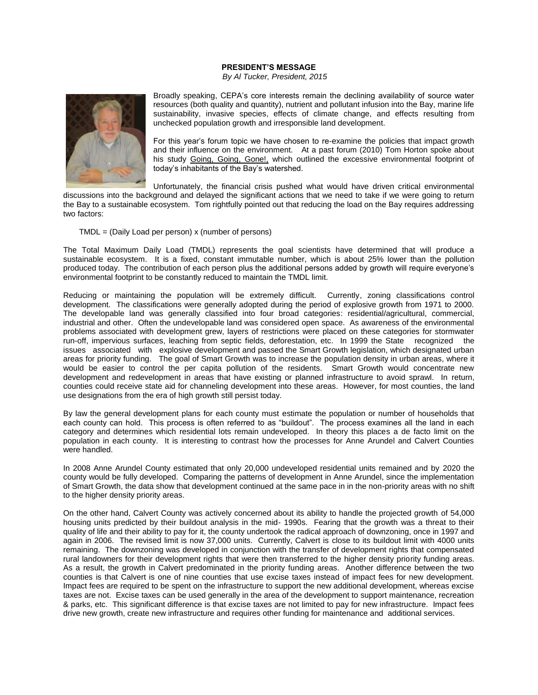## **PRESIDENT'S MESSAGE**

*By Al Tucker, President, 2015*



Broadly speaking, CEPA's core interests remain the declining availability of source water resources (both quality and quantity), nutrient and pollutant infusion into the Bay, marine life sustainability, invasive species, effects of climate change, and effects resulting from unchecked population growth and irresponsible land development.

For this year's forum topic we have chosen to re-examine the policies that impact growth and their influence on the environment. At a past forum (2010) Tom Horton spoke about his study Going, Going, Gone!, which outlined the excessive environmental footprint of today's inhabitants of the Bay's watershed.

Unfortunately, the financial crisis pushed what would have driven critical environmental discussions into the background and delayed the significant actions that we need to take if we were going to return the Bay to a sustainable ecosystem. Tom rightfully pointed out that reducing the load on the Bay requires addressing two factors:

## TMDL = (Daily Load per person) x (number of persons)

The Total Maximum Daily Load (TMDL) represents the goal scientists have determined that will produce a sustainable ecosystem. It is a fixed, constant immutable number, which is about 25% lower than the pollution produced today. The contribution of each person plus the additional persons added by growth will require everyone's environmental footprint to be constantly reduced to maintain the TMDL limit.

Reducing or maintaining the population will be extremely difficult. Currently, zoning classifications control development. The classifications were generally adopted during the period of explosive growth from 1971 to 2000. The developable land was generally classified into four broad categories: residential/agricultural, commercial, industrial and other. Often the undevelopable land was considered open space. As awareness of the environmental problems associated with development grew, layers of restrictions were placed on these categories for stormwater run-off, impervious surfaces, leaching from septic fields, deforestation, etc. In 1999 the State recognized the issues associated with explosive development and passed the Smart Growth legislation, which designated urban areas for priority funding. The goal of Smart Growth was to increase the population density in urban areas, where it would be easier to control the per capita pollution of the residents. Smart Growth would concentrate new development and redevelopment in areas that have existing or planned infrastructure to avoid sprawl. In return, counties could receive state aid for channeling development into these areas. However, for most counties, the land use designations from the era of high growth still persist today.

By law the general development plans for each county must estimate the population or number of households that each county can hold. This process is often referred to as "buildout". The process examines all the land in each category and determines which residential lots remain undeveloped. In theory this places a de facto limit on the population in each county. It is interesting to contrast how the processes for Anne Arundel and Calvert Counties were handled.

In 2008 Anne Arundel County estimated that only 20,000 undeveloped residential units remained and by 2020 the county would be fully developed. Comparing the patterns of development in Anne Arundel, since the implementation of Smart Growth, the data show that development continued at the same pace in in the non-priority areas with no shift to the higher density priority areas.

On the other hand, Calvert County was actively concerned about its ability to handle the projected growth of 54,000 housing units predicted by their buildout analysis in the mid- 1990s. Fearing that the growth was a threat to their quality of life and their ability to pay for it, the county undertook the radical approach of downzoning, once in 1997 and again in 2006. The revised limit is now 37,000 units. Currently, Calvert is close to its buildout limit with 4000 units remaining. The downzoning was developed in conjunction with the transfer of development rights that compensated rural landowners for their development rights that were then transferred to the higher density priority funding areas. As a result, the growth in Calvert predominated in the priority funding areas. Another difference between the two counties is that Calvert is one of nine counties that use excise taxes instead of impact fees for new development. Impact fees are required to be spent on the infrastructure to support the new additional development, whereas excise taxes are not. Excise taxes can be used generally in the area of the development to support maintenance, recreation & parks, etc. This significant difference is that excise taxes are not limited to pay for new infrastructure. Impact fees drive new growth, create new infrastructure and requires other funding for maintenance and additional services.